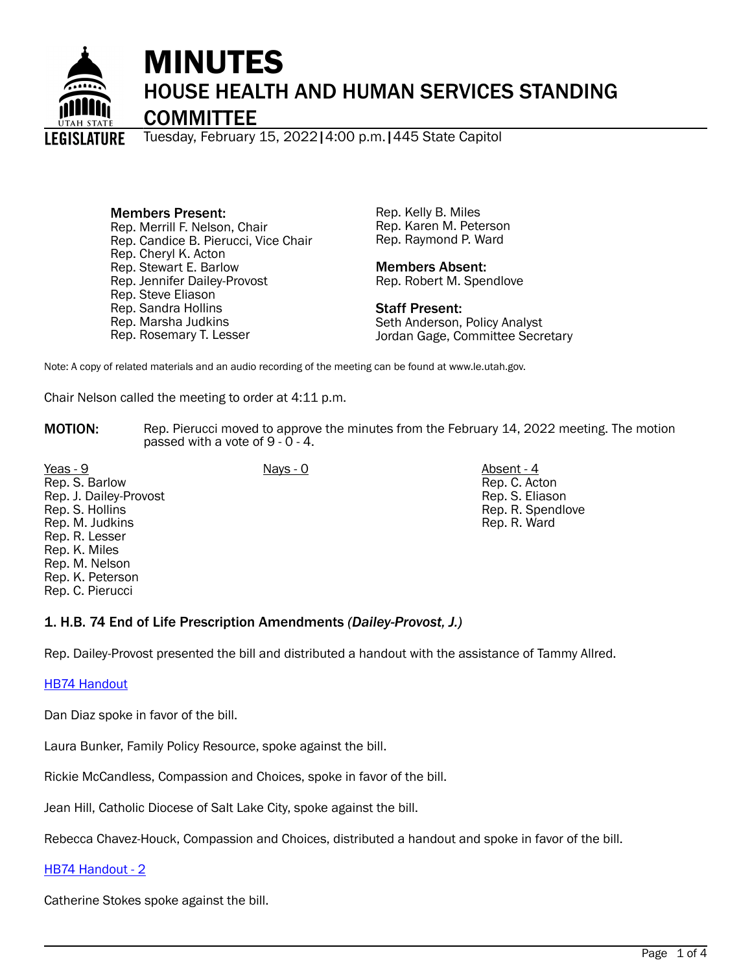

# MINUTES HOUSE HEALTH AND HUMAN SERVICES STANDING

**COMMITTEE** 

Tuesday, February 15, 2022|4:00 p.m.|445 State Capitol

Members Present: Rep. Merrill F. Nelson, Chair Rep. Candice B. Pierucci, Vice Chair Rep. Cheryl K. Acton Rep. Stewart E. Barlow Rep. Jennifer Dailey-Provost Rep. Steve Eliason Rep. Sandra Hollins Rep. Marsha Judkins Rep. Rosemary T. Lesser

Rep. Kelly B. Miles Rep. Karen M. Peterson Rep. Raymond P. Ward

Members Absent: Rep. Robert M. Spendlove

Staff Present: Seth Anderson, Policy Analyst Jordan Gage, Committee Secretary

Note: A copy of related materials and an audio recording of the meeting can be found at www.le.utah.gov.

Chair Nelson called the meeting to order at 4:11 p.m.

- **MOTION:** Rep. Pierucci moved to approve the minutes from the February 14, 2022 meeting. The motion passed with a vote of 9 - 0 - 4.
- Yeas 9 Nays 0 Absent 4 Rep. S. Barlow Rep. J. Dailey-Provost Rep. S. Hollins Rep. M. Judkins Rep. R. Lesser Rep. K. Miles Rep. M. Nelson Rep. K. Peterson Rep. C. Pierucci

Rep. C. Acton Rep. S. Eliason Rep. R. Spendlove Rep. R. Ward

#### 1. H.B. 74 End of Life Prescription Amendments *(Dailey-Provost, J.)*

Rep. Dailey-Provost presented the bill and distributed a handout with the assistance of Tammy Allred.

#### [HB74 Handout](https://le.utah.gov/interim/2022/pdf/00001805.pdf)

Dan Diaz spoke in favor of the bill.

Laura Bunker, Family Policy Resource, spoke against the bill.

Rickie McCandless, Compassion and Choices, spoke in favor of the bill.

Jean Hill, Catholic Diocese of Salt Lake City, spoke against the bill.

Rebecca Chavez-Houck, Compassion and Choices, distributed a handout and spoke in favor of the bill.

#### [HB74 Handout - 2](https://le.utah.gov/interim/2022/pdf/00001806.pdf)

Catherine Stokes spoke against the bill.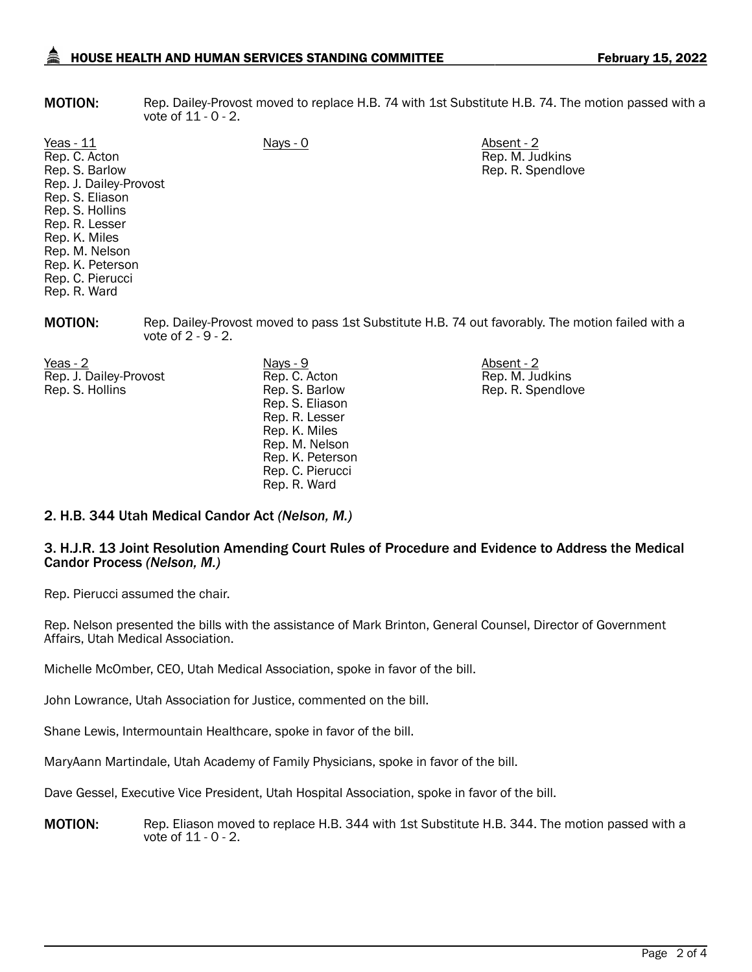## HOUSE HEALTH AND HUMAN SERVICES STANDING COMMITTEE FEBRUARY 15, 2022

**MOTION:** Rep. Dailey-Provost moved to replace H.B. 74 with 1st Substitute H.B. 74. The motion passed with a vote of 11 - 0 - 2.

Yeas - 11 Nays - 0 Nays - 0 Absent - 2 Rep. C. Acton Rep. S. Barlow Rep. J. Dailey-Provost Rep. S. Eliason Rep. S. Hollins Rep. R. Lesser Rep. K. Miles Rep. M. Nelson Rep. K. Peterson Rep. C. Pierucci Rep. R. Ward Rep. M. Judkins Rep. R. Spendlove MOTION: Rep. Dailey-Provost moved to pass 1st Substitute H.B. 74 out favorably. The motion failed with a vote of 2 - 9 - 2.

Yeas - 2 Nays - 9 Nays - 9 Nays - 9 Absent - 2 Rep. J. Dailey-Provost Rep. S. Hollins

Rep. C. Acton Rep. S. Barlow Rep. S. Eliason Rep. R. Lesser Rep. K. Miles Rep. M. Nelson Rep. K. Peterson Rep. C. Pierucci Rep. R. Ward

Rep. M. Judkins Rep. R. Spendlove

#### 2. H.B. 344 Utah Medical Candor Act *(Nelson, M.)*

#### 3. H.J.R. 13 Joint Resolution Amending Court Rules of Procedure and Evidence to Address the Medical Candor Process *(Nelson, M.)*

Rep. Pierucci assumed the chair.

Rep. Nelson presented the bills with the assistance of Mark Brinton, General Counsel, Director of Government Affairs, Utah Medical Association.

Michelle McOmber, CEO, Utah Medical Association, spoke in favor of the bill.

John Lowrance, Utah Association for Justice, commented on the bill.

Shane Lewis, Intermountain Healthcare, spoke in favor of the bill.

MaryAann Martindale, Utah Academy of Family Physicians, spoke in favor of the bill.

Dave Gessel, Executive Vice President, Utah Hospital Association, spoke in favor of the bill.

MOTION: Rep. Eliason moved to replace H.B. 344 with 1st Substitute H.B. 344. The motion passed with a vote of 11 - 0 - 2.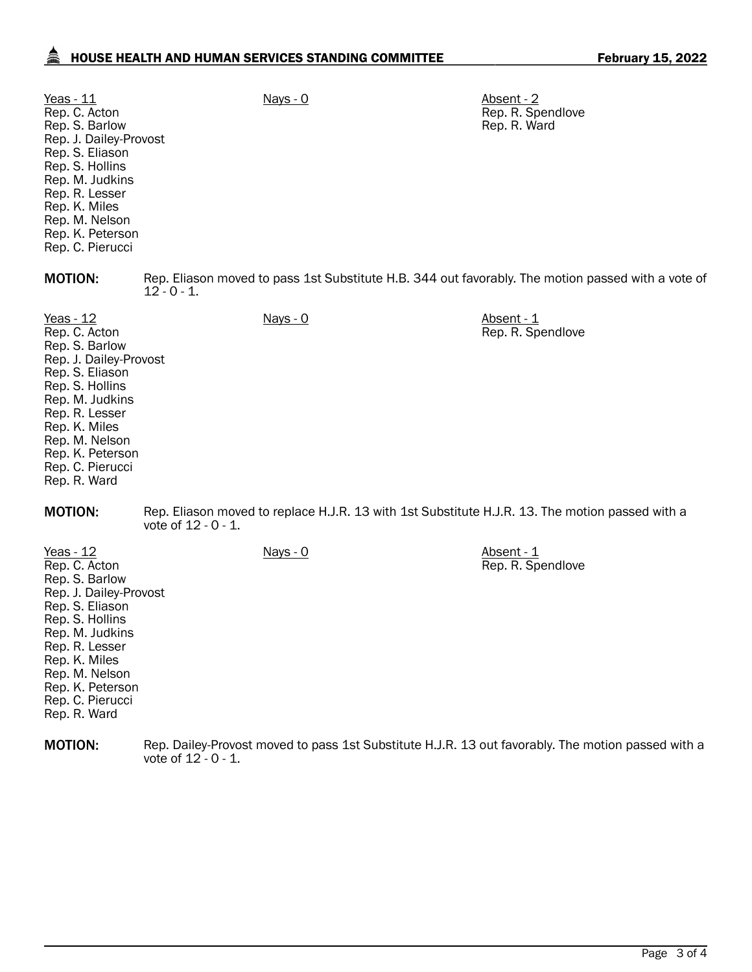## **AND HOUSE HEALTH AND HUMAN SERVICES STANDING COMMITTEE** February 15, 2022

| Rep. J. Dailey-Provost<br>Rep. K. Peterson | $Nays - 0$ | Absent - 2<br>Rep. R. Spendlove<br>Rep. R. Ward                                                                                                                                                       |
|--------------------------------------------|------------|-------------------------------------------------------------------------------------------------------------------------------------------------------------------------------------------------------|
| $12 - 0 - 1$ .                             |            |                                                                                                                                                                                                       |
| Rep. J. Dailey-Provost<br>Rep. K. Peterson | $Nays - 0$ | Absent - 1<br>Rep. R. Spendlove                                                                                                                                                                       |
| vote of 12 - 0 - 1.                        |            |                                                                                                                                                                                                       |
| Rep. J. Dailey-Provost<br>Rep. K. Peterson | Nays - 0   | Absent - 1<br>Rep. R. Spendlove                                                                                                                                                                       |
|                                            |            | Rep. Eliason moved to pass 1st Substitute H.B. 344 out favorably. The motion passed with a vote of<br>Rep. Eliason moved to replace H.J.R. 13 with 1st Substitute H.J.R. 13. The motion passed with a |

**MOTION:** Rep. Dailey-Provost moved to pass 1st Substitute H.J.R. 13 out favorably. The motion passed with a vote of 12 - 0 - 1.